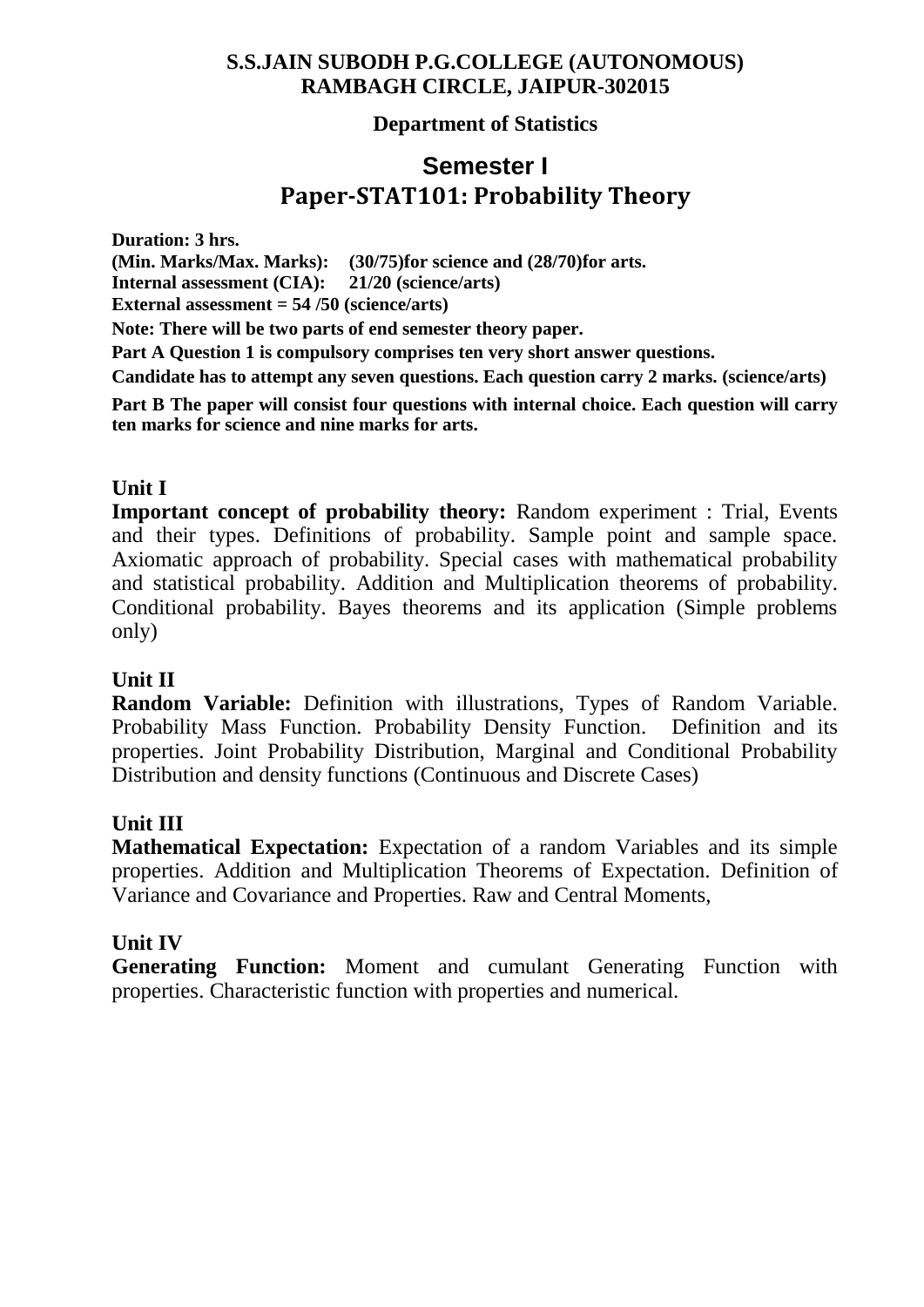#### **Department of Statistics**

# **Semester I Paper-STAT101: Probability Theory**

**Duration: 3 hrs.**

**(Min. Marks/Max. Marks): (30/75)for science and (28/70)for arts. Internal assessment (CIA): 21/20 (science/arts) External assessment = 54 /50 (science/arts) Note: There will be two parts of end semester theory paper.**

**Part A Question 1 is compulsory comprises ten very short answer questions.**

**Candidate has to attempt any seven questions. Each question carry 2 marks. (science/arts)**

**Part B The paper will consist four questions with internal choice. Each question will carry ten marks for science and nine marks for arts.**

## **Unit I**

**Important concept of probability theory:** Random experiment : Trial, Events and their types. Definitions of probability. Sample point and sample space. Axiomatic approach of probability. Special cases with mathematical probability and statistical probability. Addition and Multiplication theorems of probability. Conditional probability. Bayes theorems and its application (Simple problems only)

#### **Unit II**

**Random Variable:** Definition with illustrations, Types of Random Variable. Probability Mass Function. Probability Density Function. Definition and its properties. Joint Probability Distribution, Marginal and Conditional Probability Distribution and density functions (Continuous and Discrete Cases)

#### **Unit III**

**Mathematical Expectation:** Expectation of a random Variables and its simple properties. Addition and Multiplication Theorems of Expectation. Definition of Variance and Covariance and Properties. Raw and Central Moments,

#### **Unit IV**

**Generating Function:** Moment and cumulant Generating Function with properties. Characteristic function with properties and numerical.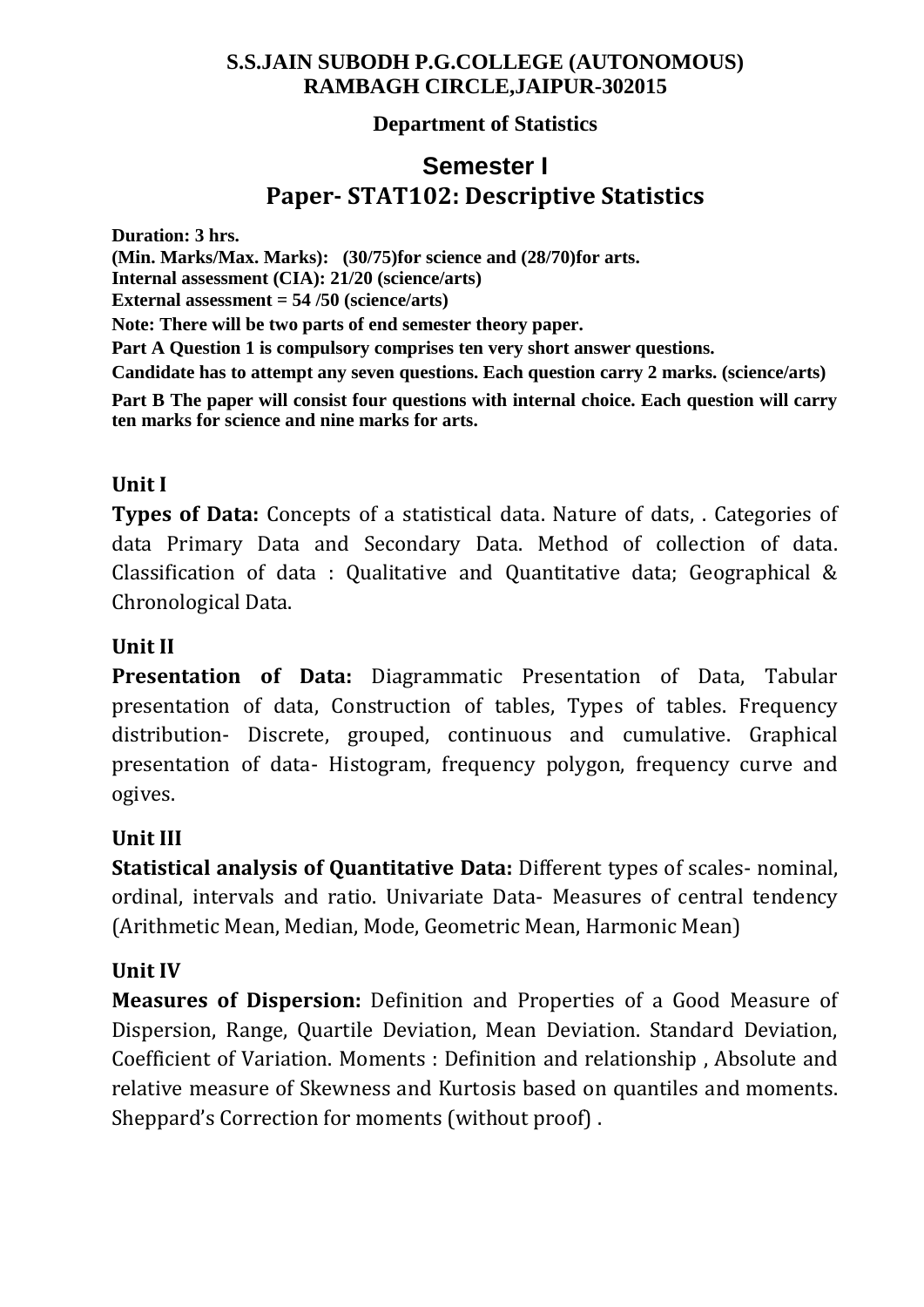## **Department of Statistics**

# **Semester I Paper- STAT102: Descriptive Statistics**

**Duration: 3 hrs. (Min. Marks/Max. Marks): (30/75)for science and (28/70)for arts. Internal assessment (CIA): 21/20 (science/arts) External assessment = 54 /50 (science/arts) Note: There will be two parts of end semester theory paper. Part A Question 1 is compulsory comprises ten very short answer questions. Candidate has to attempt any seven questions. Each question carry 2 marks. (science/arts) Part B The paper will consist four questions with internal choice. Each question will carry ten marks for science and nine marks for arts.**

## **Unit I**

**Types of Data:** Concepts of a statistical data. Nature of dats, . Categories of data Primary Data and Secondary Data. Method of collection of data. Classification of data : Qualitative and Quantitative data; Geographical & Chronological Data.

## **Unit II**

**Presentation of Data:** Diagrammatic Presentation of Data, Tabular presentation of data, Construction of tables, Types of tables. Frequency distribution- Discrete, grouped, continuous and cumulative. Graphical presentation of data- Histogram, frequency polygon, frequency curve and ogives.

## **Unit III**

**Statistical analysis of Quantitative Data:** Different types of scales- nominal, ordinal, intervals and ratio. Univariate Data- Measures of central tendency (Arithmetic Mean, Median, Mode, Geometric Mean, Harmonic Mean)

## **Unit IV**

**Measures of Dispersion:** Definition and Properties of a Good Measure of Dispersion, Range, Quartile Deviation, Mean Deviation. Standard Deviation, Coefficient of Variation. Moments : Definition and relationship , Absolute and relative measure of Skewness and Kurtosis based on quantiles and moments. Sheppard's Correction for moments (without proof) .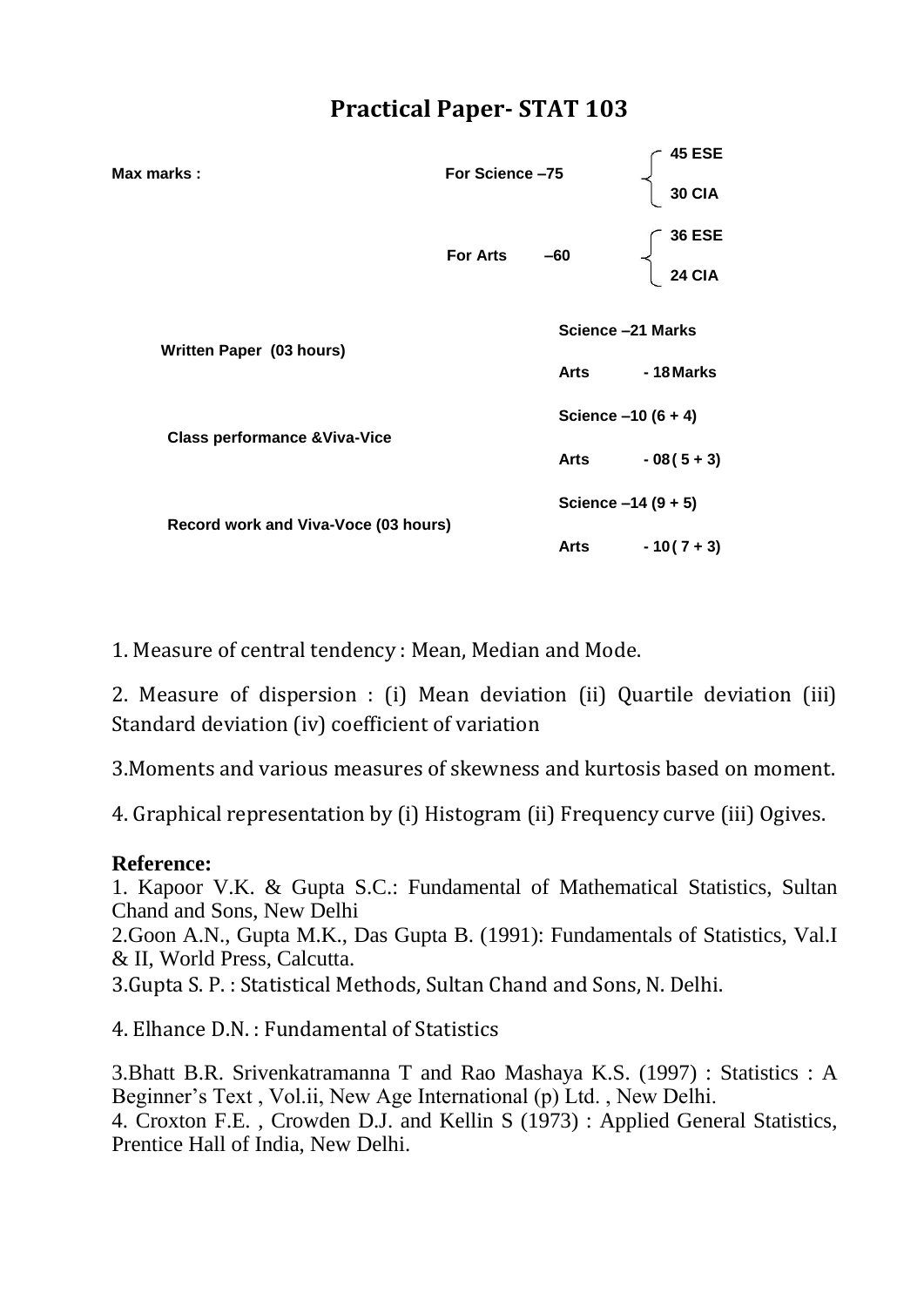| Max marks :                              | For Science-75  |                      | 45 ESE<br><b>30 CIA</b> |
|------------------------------------------|-----------------|----------------------|-------------------------|
|                                          | <b>For Arts</b> | $-60$                | <b>36 ESE</b><br>24 CIA |
| Written Paper (03 hours)                 |                 |                      | Science -21 Marks       |
|                                          |                 | Arts                 | - 18 Marks              |
|                                          |                 | Science $-10(6 + 4)$ |                         |
| <b>Class performance &amp; Viva-Vice</b> |                 | Arts                 | $-08(5+3)$              |
|                                          |                 |                      | Science -14 (9 + 5)     |
| Record work and Viva-Voce (03 hours)     |                 | Arts                 | $-10(7+3)$              |

1. Measure of central tendency : Mean, Median and Mode.

2. Measure of dispersion : (i) Mean deviation (ii) Quartile deviation (iii) Standard deviation (iv) coefficient of variation

3.Moments and various measures of skewness and kurtosis based on moment.

4. Graphical representation by (i) Histogram (ii) Frequency curve (iii) Ogives.

#### **Reference:**

1. Kapoor V.K. & Gupta S.C.: Fundamental of Mathematical Statistics, Sultan Chand and Sons, New Delhi

2.Goon A.N., Gupta M.K., Das Gupta B. (1991): Fundamentals of Statistics, Val.I & II, World Press, Calcutta.

3.Gupta S. P. : Statistical Methods, Sultan Chand and Sons, N. Delhi.

4. Elhance D.N. : Fundamental of Statistics

3.Bhatt B.R. Srivenkatramanna T and Rao Mashaya K.S. (1997) : Statistics : A Beginner's Text , Vol.ii, New Age International (p) Ltd. , New Delhi. 4. Croxton F.E. , Crowden D.J. and Kellin S (1973) : Applied General Statistics, Prentice Hall of India, New Delhi.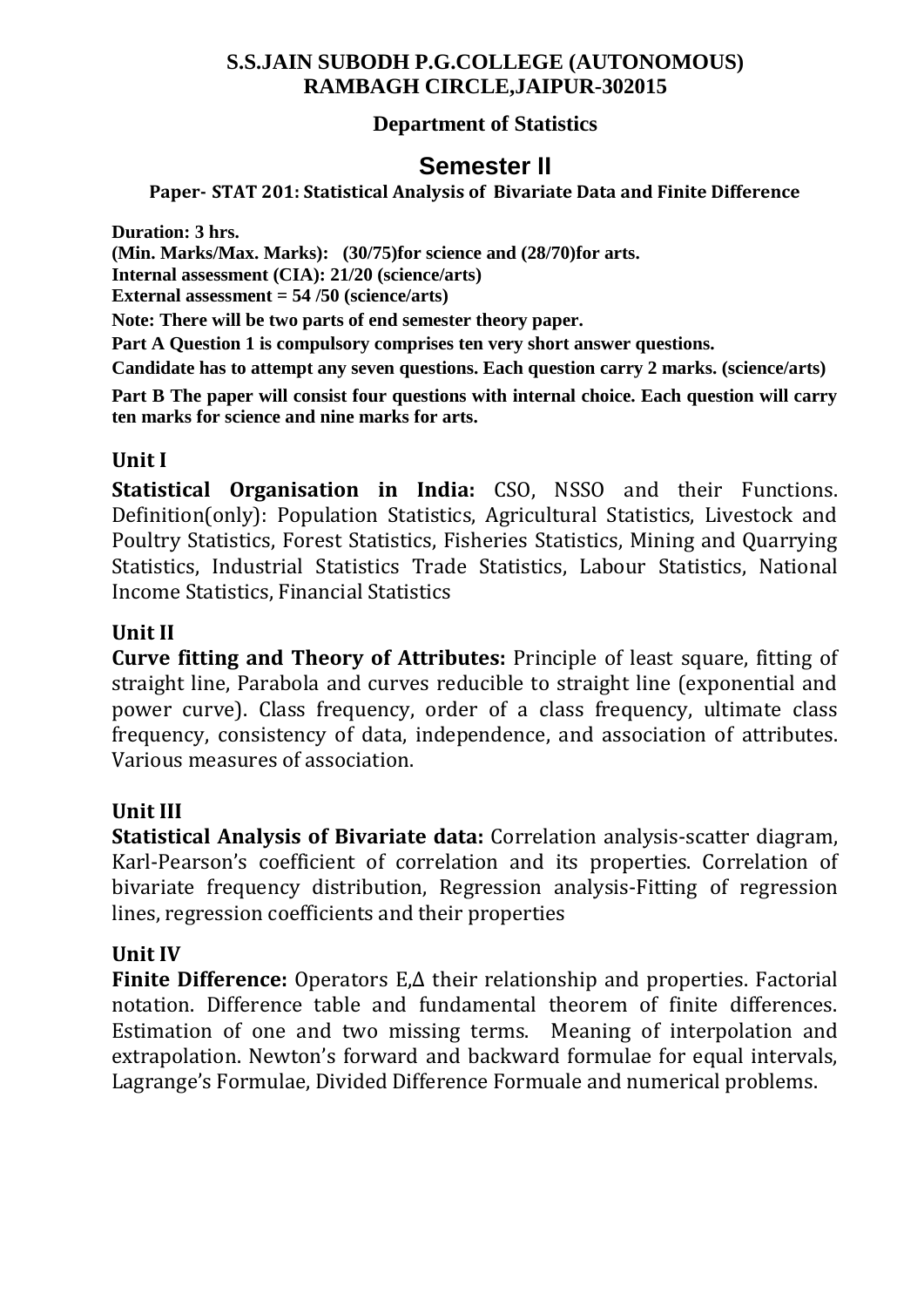## **Department of Statistics**

# **Semester II**

#### **Paper- STAT 201: Statistical Analysis of Bivariate Data and Finite Difference**

**Duration: 3 hrs.**

**(Min. Marks/Max. Marks): (30/75)for science and (28/70)for arts.**

**Internal assessment (CIA): 21/20 (science/arts)**

**External assessment = 54 /50 (science/arts)**

**Note: There will be two parts of end semester theory paper.**

**Part A Question 1 is compulsory comprises ten very short answer questions.**

**Candidate has to attempt any seven questions. Each question carry 2 marks. (science/arts)**

**Part B The paper will consist four questions with internal choice. Each question will carry ten marks for science and nine marks for arts.**

#### **Unit I**

**Statistical Organisation in India:** CSO, NSSO and their Functions. Definition(only): Population Statistics, Agricultural Statistics, Livestock and Poultry Statistics, Forest Statistics, Fisheries Statistics, Mining and Quarrying Statistics, Industrial Statistics Trade Statistics, Labour Statistics, National Income Statistics, Financial Statistics

#### **Unit II**

**Curve fitting and Theory of Attributes:** Principle of least square, fitting of straight line, Parabola and curves reducible to straight line (exponential and power curve). Class frequency, order of a class frequency, ultimate class frequency, consistency of data, independence, and association of attributes. Various measures of association.

## **Unit III**

**Statistical Analysis of Bivariate data:** Correlation analysis-scatter diagram, Karl-Pearson's coefficient of correlation and its properties. Correlation of bivariate frequency distribution, Regression analysis-Fitting of regression lines, regression coefficients and their properties

## **Unit IV**

**Finite Difference:** Operators E,∆ their relationship and properties. Factorial notation. Difference table and fundamental theorem of finite differences. Estimation of one and two missing terms. Meaning of interpolation and extrapolation. Newton's forward and backward formulae for equal intervals, Lagrange's Formulae, Divided Difference Formuale and numerical problems.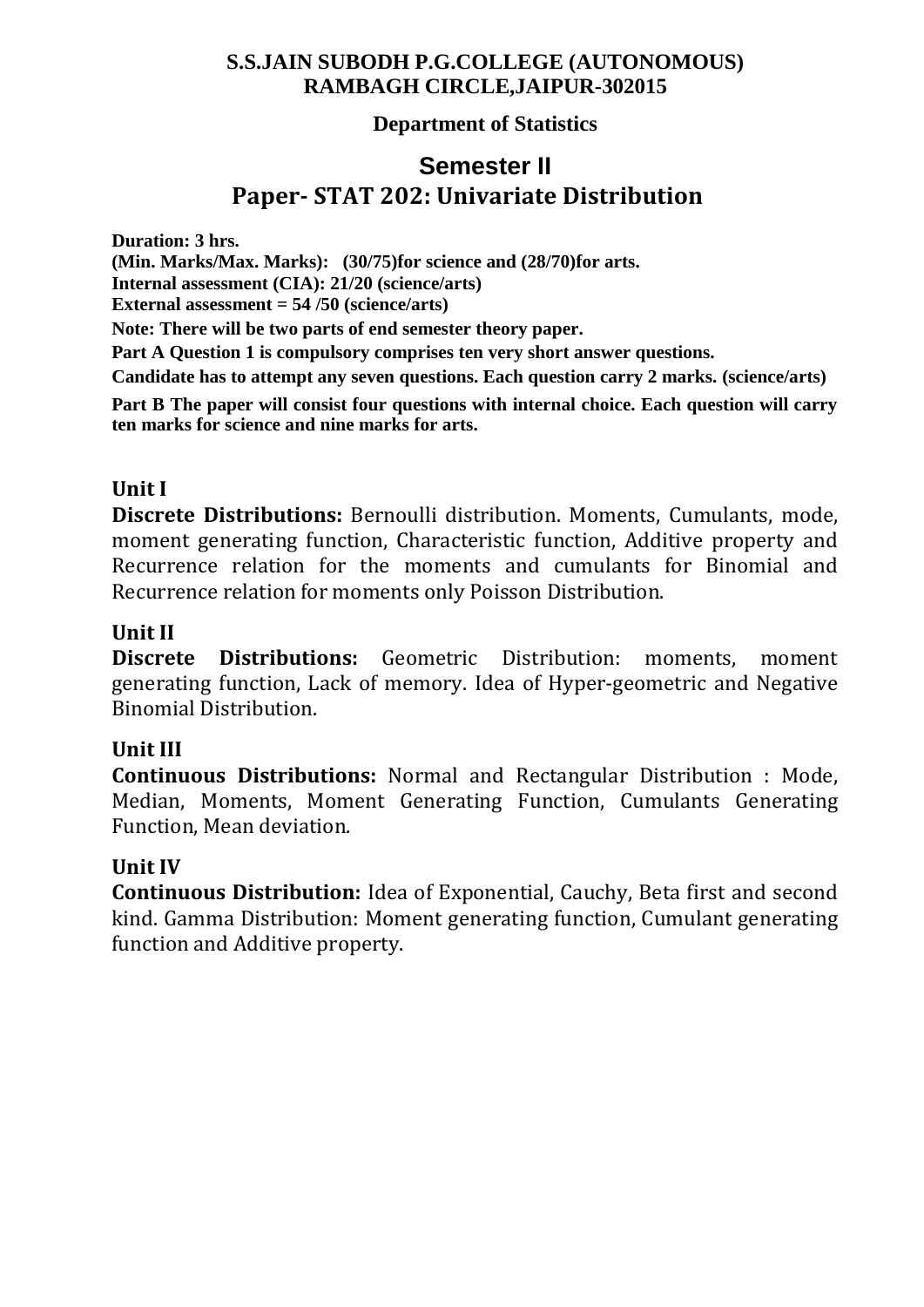#### **Department of Statistics**

# **Semester II Paper- STAT 202: Univariate Distribution**

**Duration: 3 hrs.**

**(Min. Marks/Max. Marks): (30/75)for science and (28/70)for arts.**

**Internal assessment (CIA): 21/20 (science/arts)**

**External assessment = 54 /50 (science/arts)**

**Note: There will be two parts of end semester theory paper.**

**Part A Question 1 is compulsory comprises ten very short answer questions.**

**Candidate has to attempt any seven questions. Each question carry 2 marks. (science/arts)**

**Part B The paper will consist four questions with internal choice. Each question will carry ten marks for science and nine marks for arts.**

#### **Unit I**

**Discrete Distributions:** Bernoulli distribution. Moments, Cumulants, mode, moment generating function, Characteristic function, Additive property and Recurrence relation for the moments and cumulants for Binomial and Recurrence relation for moments only Poisson Distribution.

#### **Unit II**

**Discrete Distributions:** Geometric Distribution: moments, moment generating function, Lack of memory. Idea of Hyper-geometric and Negative Binomial Distribution.

#### **Unit III**

**Continuous Distributions:** Normal and Rectangular Distribution : Mode, Median, Moments, Moment Generating Function, Cumulants Generating Function, Mean deviation.

#### **Unit IV**

**Continuous Distribution:** Idea of Exponential, Cauchy, Beta first and second kind. Gamma Distribution: Moment generating function, Cumulant generating function and Additive property.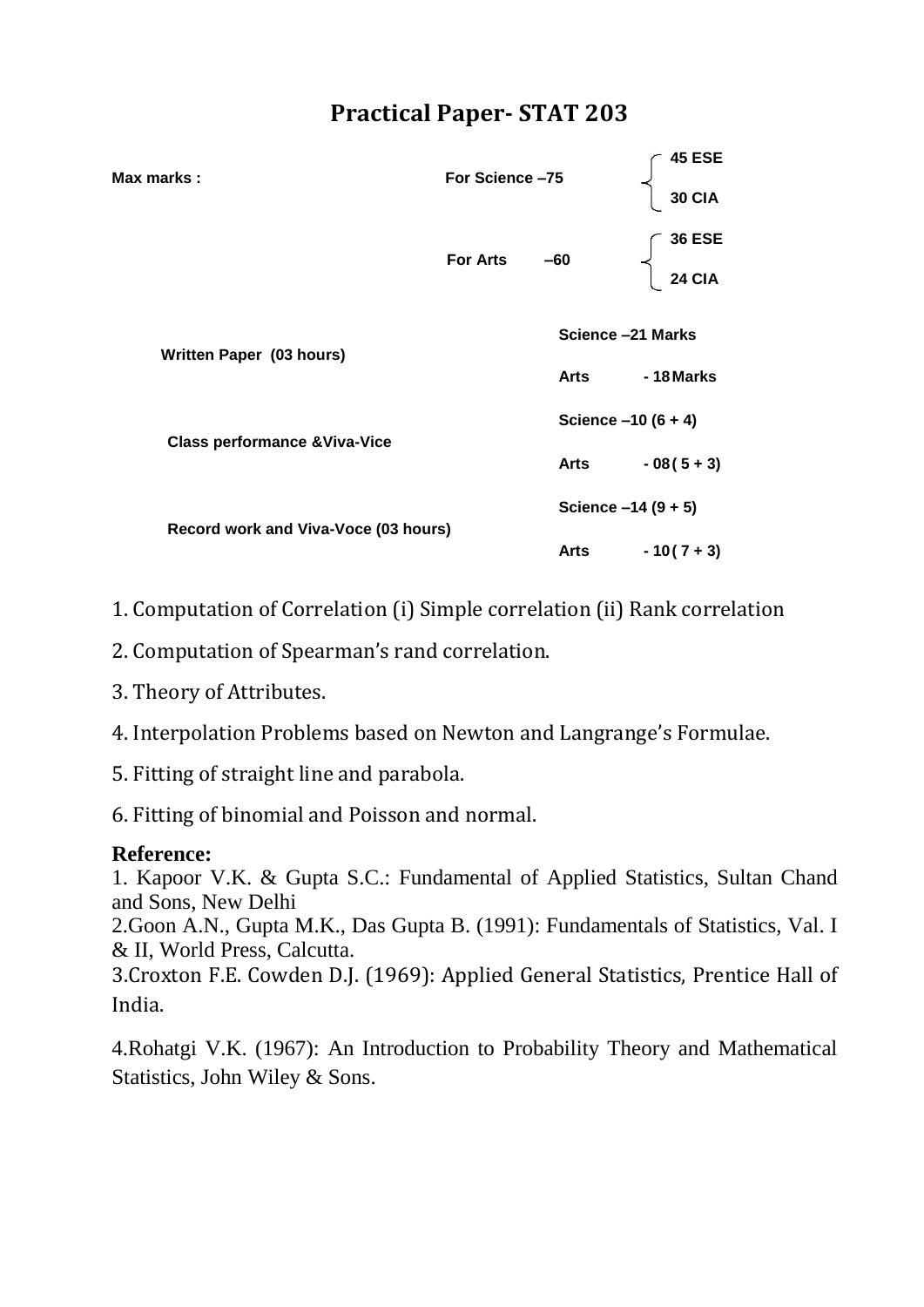| For Science-75<br>Max marks :            |                 |                      | <b>45 ESE</b>        |
|------------------------------------------|-----------------|----------------------|----------------------|
|                                          |                 |                      | <b>30 CIA</b>        |
|                                          | <b>For Arts</b> | $-60$                | <b>36 ESE</b>        |
|                                          |                 |                      | <b>24 CIA</b>        |
| Written Paper (03 hours)                 |                 | Science -21 Marks    |                      |
|                                          |                 | Arts                 | - 18 Marks           |
| <b>Class performance &amp; Viva-Vice</b> |                 | Science $-10(6 + 4)$ |                      |
|                                          |                 | Arts                 | $-08(5+3)$           |
|                                          |                 |                      | Science $-14(9 + 5)$ |
| Record work and Viva-Voce (03 hours)     |                 | Arts                 | $-10(7+3)$           |

- 1. Computation of Correlation (i) Simple correlation (ii) Rank correlation
- 2. Computation of Spearman's rand correlation.
- 3. Theory of Attributes.
- 4. Interpolation Problems based on Newton and Langrange's Formulae.
- 5. Fitting of straight line and parabola.
- 6. Fitting of binomial and Poisson and normal.

#### **Reference:**

1. Kapoor V.K. & Gupta S.C.: Fundamental of Applied Statistics, Sultan Chand and Sons, New Delhi

2.Goon A.N., Gupta M.K., Das Gupta B. (1991): Fundamentals of Statistics, Val. I & II, World Press, Calcutta.

3.Croxton F.E. Cowden D.J. (1969): Applied General Statistics, Prentice Hall of India.

4.Rohatgi V.K. (1967): An Introduction to Probability Theory and Mathematical Statistics, John Wiley & Sons.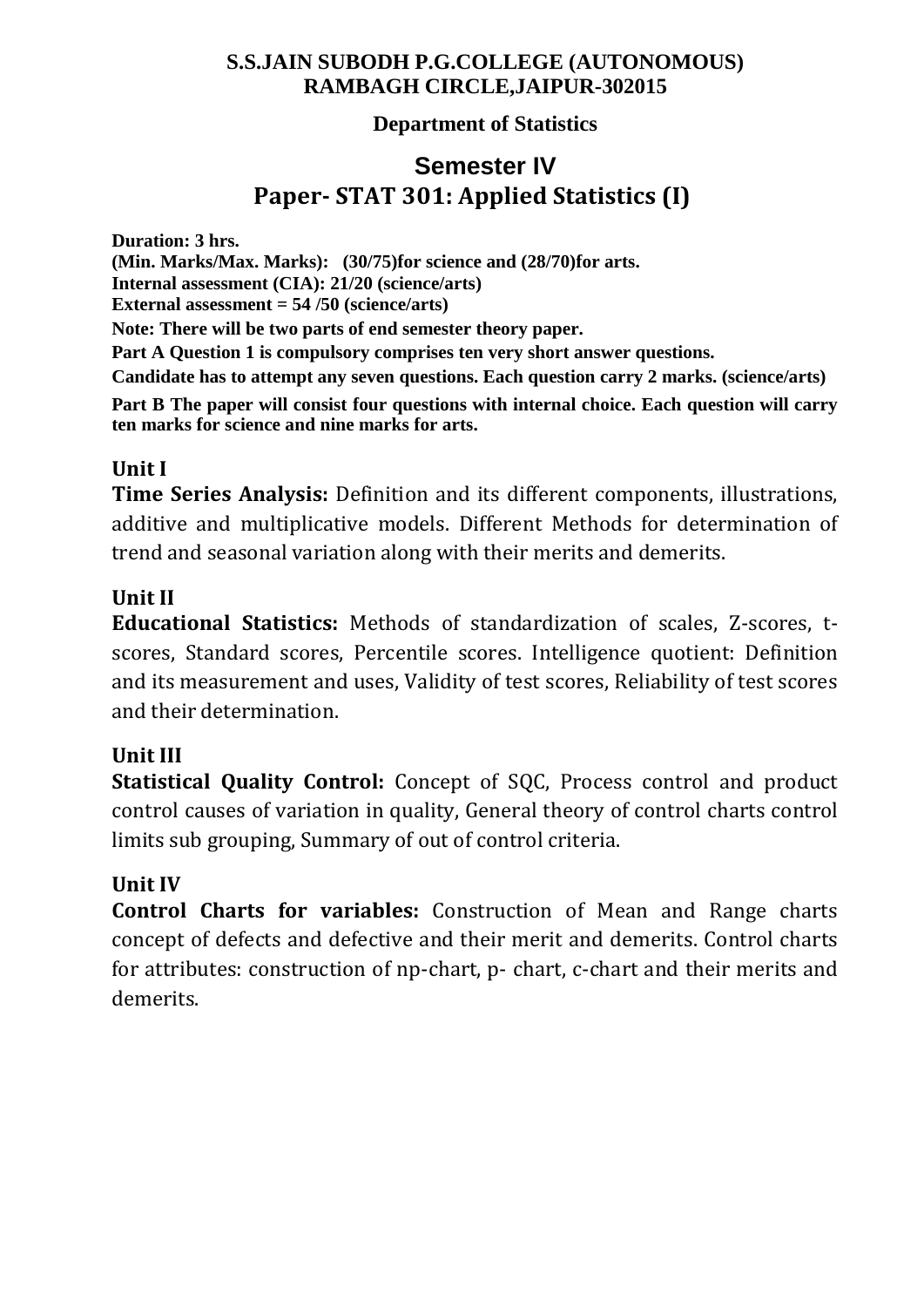## **Department of Statistics**

# **Semester IV Paper- STAT 301: Applied Statistics (I)**

**Duration: 3 hrs. (Min. Marks/Max. Marks): (30/75)for science and (28/70)for arts. Internal assessment (CIA): 21/20 (science/arts) External assessment = 54 /50 (science/arts) Note: There will be two parts of end semester theory paper. Part A Question 1 is compulsory comprises ten very short answer questions. Candidate has to attempt any seven questions. Each question carry 2 marks. (science/arts) Part B The paper will consist four questions with internal choice. Each question will carry ten marks for science and nine marks for arts.**

## **Unit I**

**Time Series Analysis:** Definition and its different components, illustrations, additive and multiplicative models. Different Methods for determination of trend and seasonal variation along with their merits and demerits.

# **Unit II**

**Educational Statistics:** Methods of standardization of scales, Z-scores, tscores, Standard scores, Percentile scores. Intelligence quotient: Definition and its measurement and uses, Validity of test scores, Reliability of test scores and their determination.

# **Unit III**

**Statistical Quality Control:** Concept of SQC, Process control and product control causes of variation in quality, General theory of control charts control limits sub grouping, Summary of out of control criteria.

## **Unit IV**

**Control Charts for variables:** Construction of Mean and Range charts concept of defects and defective and their merit and demerits. Control charts for attributes: construction of np-chart, p- chart, c-chart and their merits and demerits.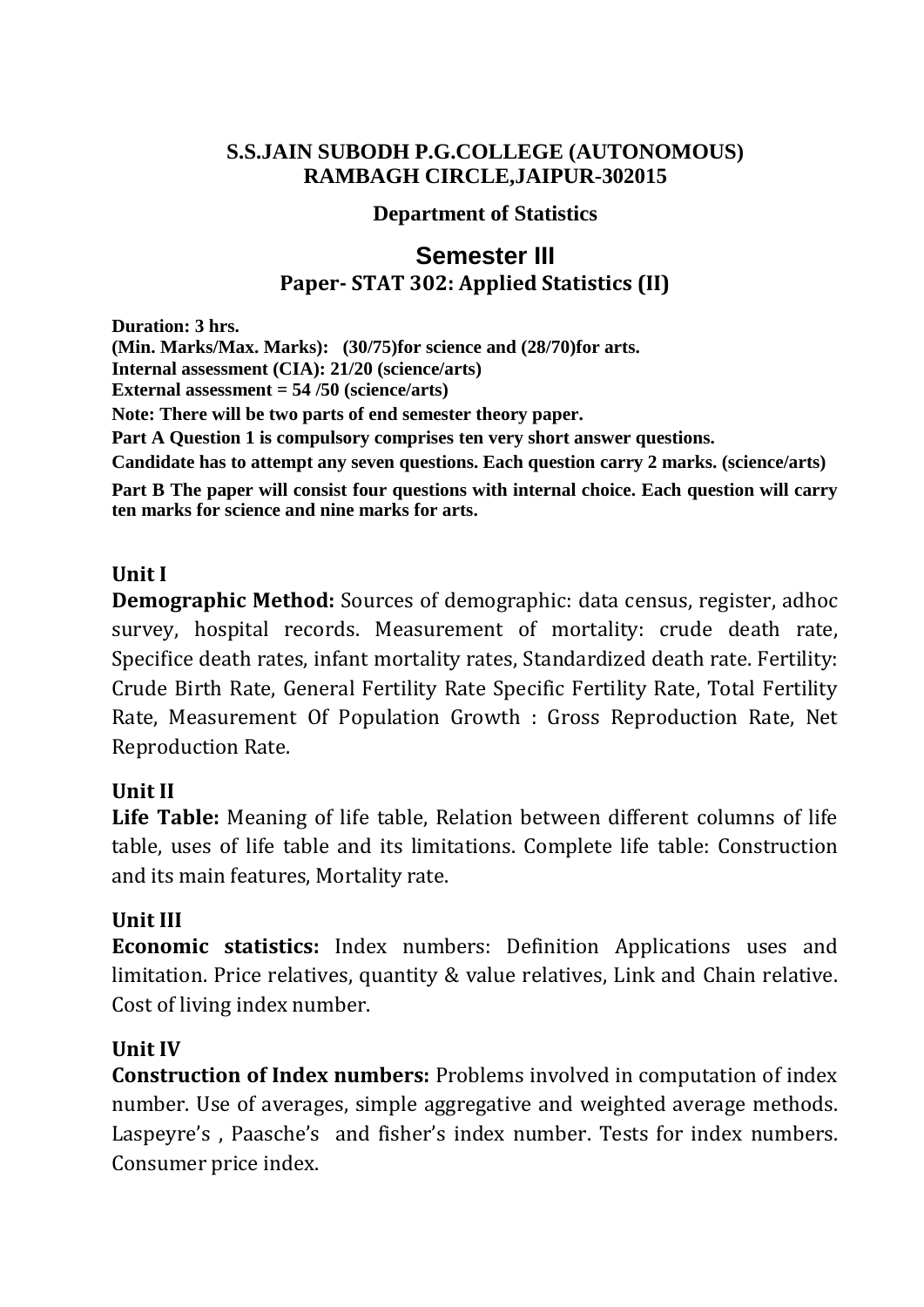#### **Department of Statistics**

# **Semester III Paper- STAT 302: Applied Statistics (II)**

**Duration: 3 hrs. (Min. Marks/Max. Marks): (30/75)for science and (28/70)for arts. Internal assessment (CIA): 21/20 (science/arts) External assessment = 54 /50 (science/arts) Note: There will be two parts of end semester theory paper. Part A Question 1 is compulsory comprises ten very short answer questions. Candidate has to attempt any seven questions. Each question carry 2 marks. (science/arts) Part B The paper will consist four questions with internal choice. Each question will carry ten marks for science and nine marks for arts.**

## **Unit I**

**Demographic Method:** Sources of demographic: data census, register, adhoc survey, hospital records. Measurement of mortality: crude death rate, Specifice death rates, infant mortality rates, Standardized death rate. Fertility: Crude Birth Rate, General Fertility Rate Specific Fertility Rate, Total Fertility Rate, Measurement Of Population Growth : Gross Reproduction Rate, Net Reproduction Rate.

## **Unit II**

**Life Table:** Meaning of life table, Relation between different columns of life table, uses of life table and its limitations. Complete life table: Construction and its main features, Mortality rate.

## **Unit III**

**Economic statistics:** Index numbers: Definition Applications uses and limitation. Price relatives, quantity & value relatives, Link and Chain relative. Cost of living index number.

#### **Unit IV**

**Construction of Index numbers:** Problems involved in computation of index number. Use of averages, simple aggregative and weighted average methods. Laspeyre's , Paasche's and fisher's index number. Tests for index numbers. Consumer price index.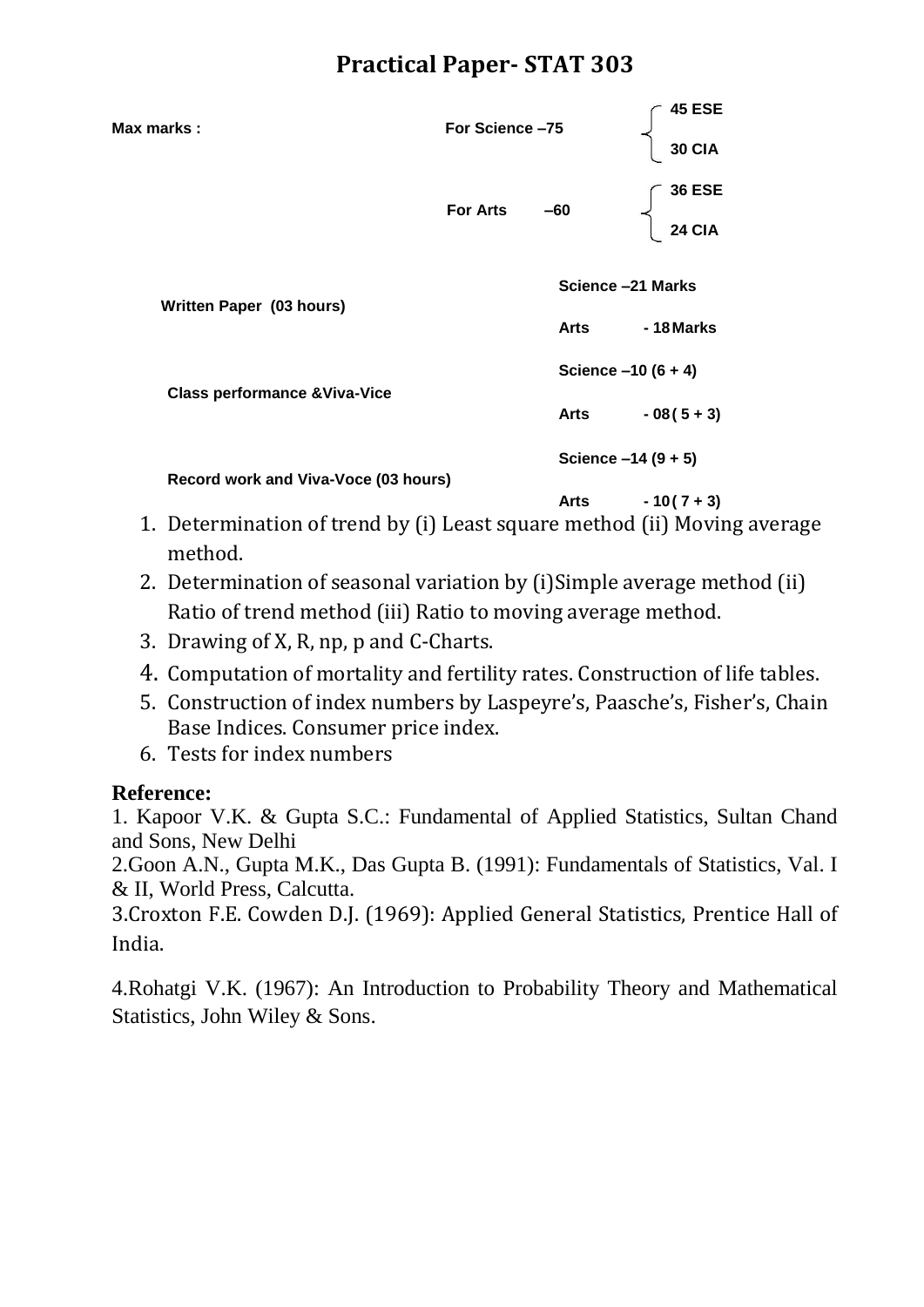| Max marks:                               | For Science-75    |       | 45 ESE<br><b>30 CIA</b>        |  |
|------------------------------------------|-------------------|-------|--------------------------------|--|
|                                          | <b>For Arts</b>   | $-60$ | <b>36 ESE</b><br><b>24 CIA</b> |  |
| Written Paper (03 hours)                 | Science -21 Marks |       |                                |  |
|                                          |                   | Arts  | - 18 Marks                     |  |
| <b>Class performance &amp; Viva-Vice</b> |                   |       | Science $-10(6 + 4)$           |  |
|                                          |                   | Arts  | $-08(5+3)$                     |  |
| Record work and Viva-Voce (03 hours)     |                   |       | Science $-14(9 + 5)$           |  |
|                                          |                   | Arts  | $-10(7+3)$                     |  |

- 1. Determination of trend by (i) Least square method (ii) Moving average method.
- 2. Determination of seasonal variation by (i)Simple average method (ii) Ratio of trend method (iii) Ratio to moving average method.
- 3. Drawing of X, R, np, p and C-Charts.
- 4. Computation of mortality and fertility rates. Construction of life tables.
- 5. Construction of index numbers by Laspeyre's, Paasche's, Fisher's, Chain Base Indices. Consumer price index.
- 6. Tests for index numbers

## **Reference:**

1. Kapoor V.K. & Gupta S.C.: Fundamental of Applied Statistics, Sultan Chand and Sons, New Delhi

2.Goon A.N., Gupta M.K., Das Gupta B. (1991): Fundamentals of Statistics, Val. I & II, World Press, Calcutta.

3.Croxton F.E. Cowden D.J. (1969): Applied General Statistics, Prentice Hall of India.

4.Rohatgi V.K. (1967): An Introduction to Probability Theory and Mathematical Statistics, John Wiley & Sons.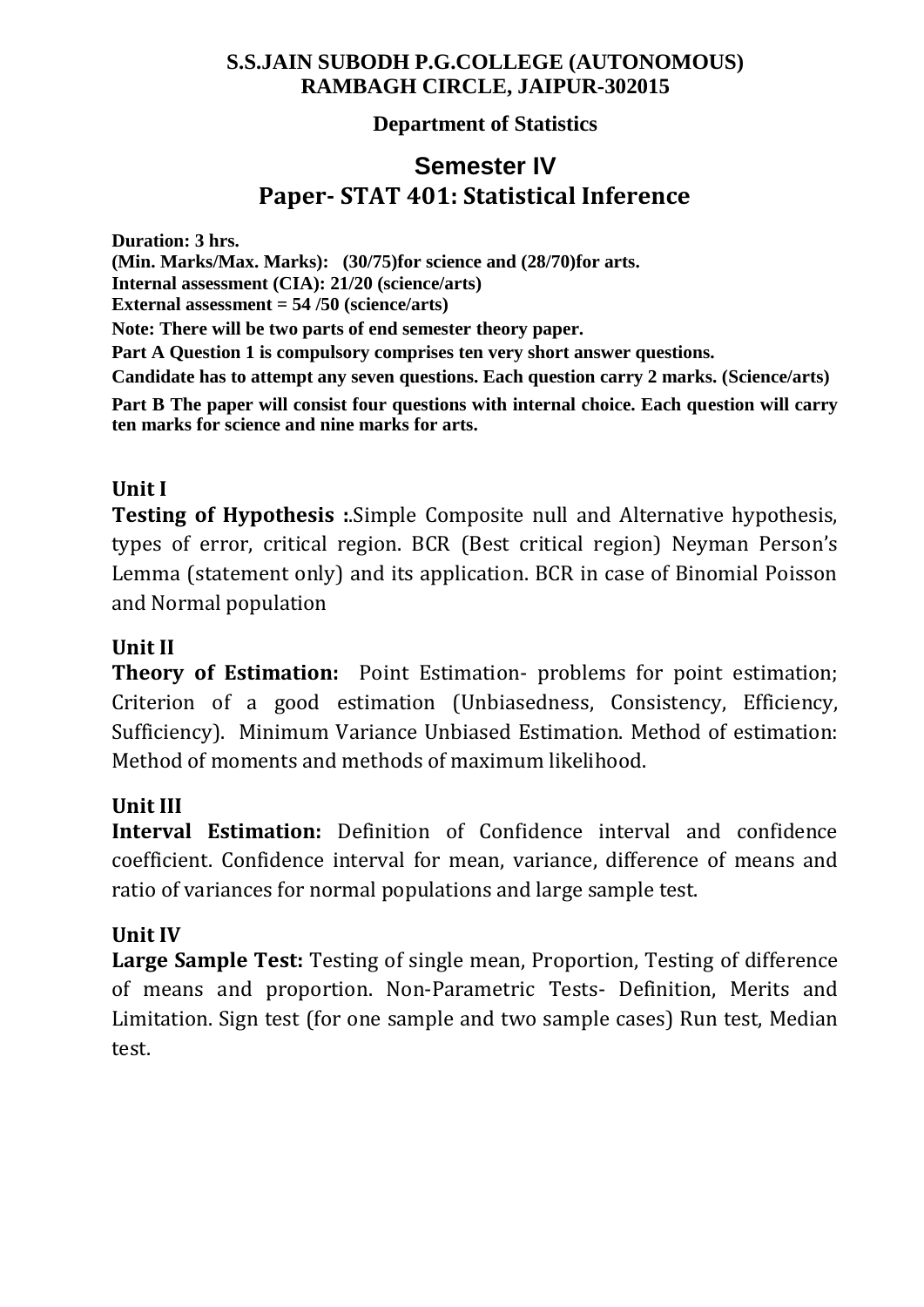## **Department of Statistics**

# **Semester IV Paper- STAT 401: Statistical Inference**

**Duration: 3 hrs. (Min. Marks/Max. Marks): (30/75)for science and (28/70)for arts. Internal assessment (CIA): 21/20 (science/arts) External assessment = 54 /50 (science/arts) Note: There will be two parts of end semester theory paper. Part A Question 1 is compulsory comprises ten very short answer questions. Candidate has to attempt any seven questions. Each question carry 2 marks. (Science/arts) Part B The paper will consist four questions with internal choice. Each question will carry ten marks for science and nine marks for arts.**

## **Unit I**

**Testing of Hypothesis :**.Simple Composite null and Alternative hypothesis, types of error, critical region. BCR (Best critical region) Neyman Person's Lemma (statement only) and its application. BCR in case of Binomial Poisson and Normal population

## **Unit II**

**Theory of Estimation:** Point Estimation- problems for point estimation; Criterion of a good estimation (Unbiasedness, Consistency, Efficiency, Sufficiency). Minimum Variance Unbiased Estimation. Method of estimation: Method of moments and methods of maximum likelihood.

## **Unit III**

**Interval Estimation:** Definition of Confidence interval and confidence coefficient. Confidence interval for mean, variance, difference of means and ratio of variances for normal populations and large sample test.

## **Unit IV**

**Large Sample Test:** Testing of single mean, Proportion, Testing of difference of means and proportion. Non-Parametric Tests- Definition, Merits and Limitation. Sign test (for one sample and two sample cases) Run test, Median test.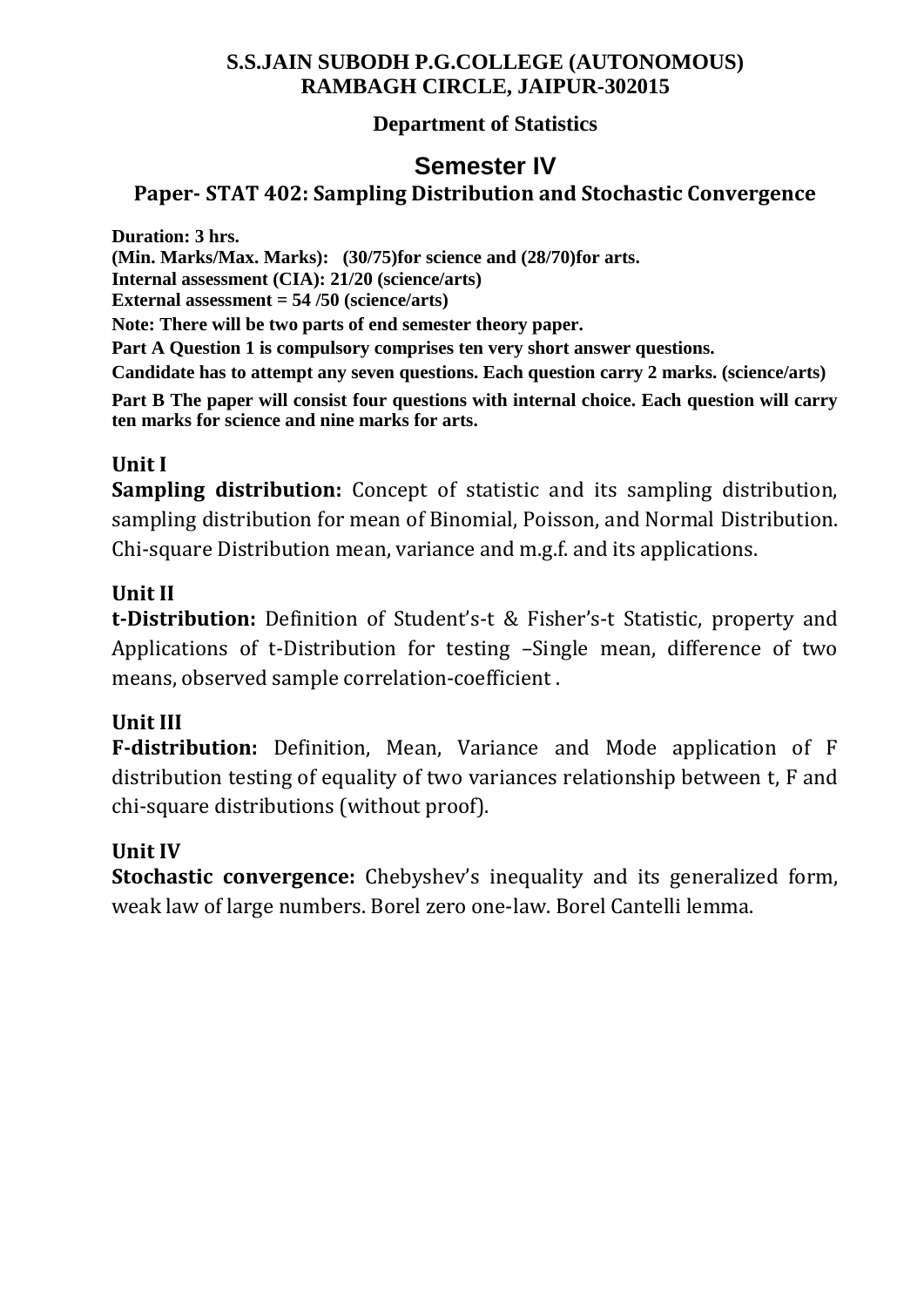## **Department of Statistics**

# **Semester IV**

# **Paper- STAT 402: Sampling Distribution and Stochastic Convergence**

**Duration: 3 hrs.**

**(Min. Marks/Max. Marks): (30/75)for science and (28/70)for arts.**

**Internal assessment (CIA): 21/20 (science/arts)**

**External assessment = 54 /50 (science/arts)**

**Note: There will be two parts of end semester theory paper.**

**Part A Question 1 is compulsory comprises ten very short answer questions.**

**Candidate has to attempt any seven questions. Each question carry 2 marks. (science/arts)**

**Part B The paper will consist four questions with internal choice. Each question will carry ten marks for science and nine marks for arts.**

# **Unit I**

**Sampling distribution:** Concept of statistic and its sampling distribution, sampling distribution for mean of Binomial, Poisson, and Normal Distribution. Chi-square Distribution mean, variance and m.g.f. and its applications.

# **Unit II**

**t-Distribution:** Definition of Student's-t & Fisher's-t Statistic, property and Applications of t-Distribution for testing –Single mean, difference of two means, observed sample correlation-coefficient .

## **Unit III**

**F-distribution:** Definition, Mean, Variance and Mode application of F distribution testing of equality of two variances relationship between t, F and chi-square distributions (without proof).

## **Unit IV**

**Stochastic convergence:** Chebyshev's inequality and its generalized form, weak law of large numbers. Borel zero one-law. Borel Cantelli lemma.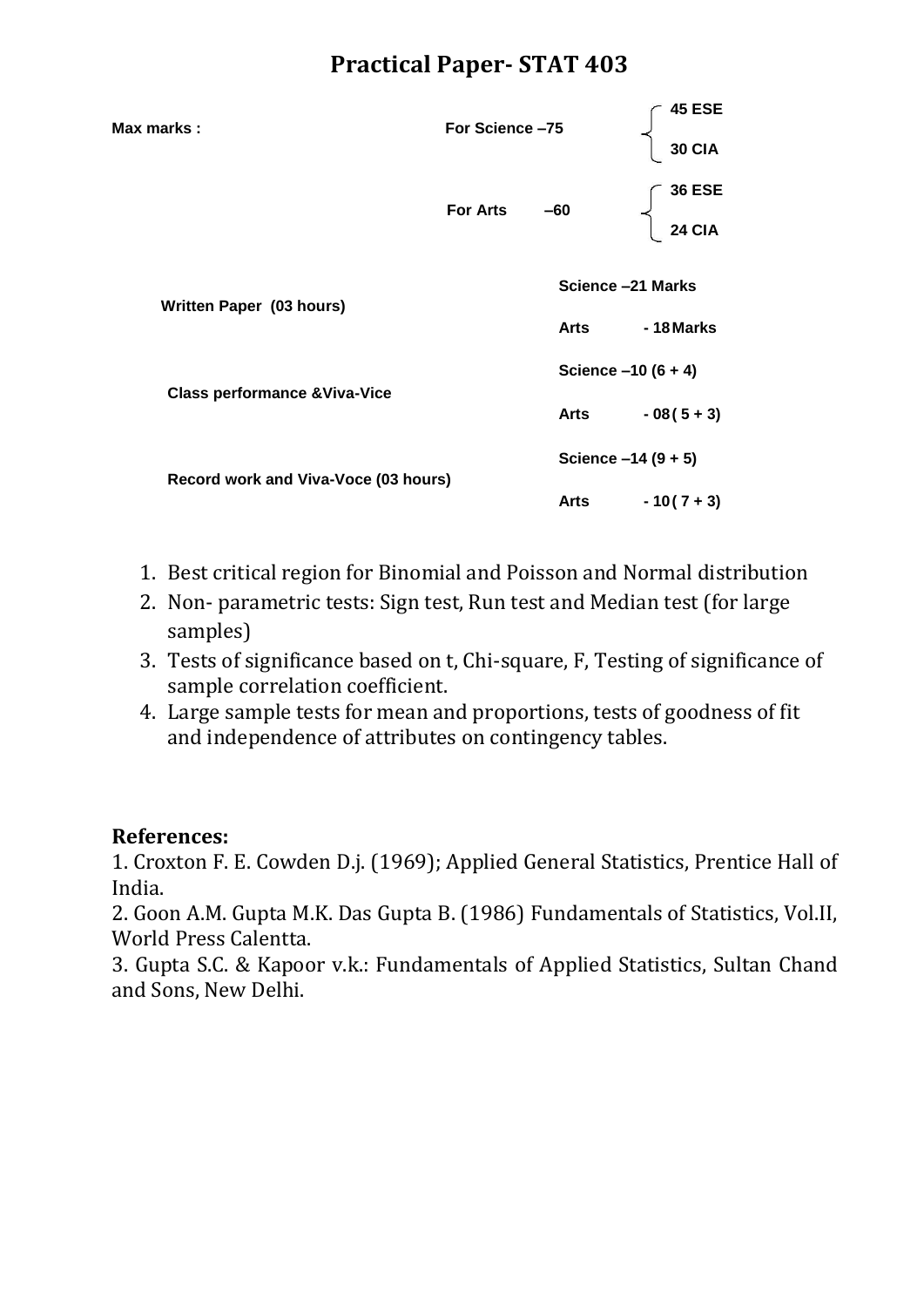| Max marks :                              | For Science-75  |                      | <b>45 ESE</b>        |
|------------------------------------------|-----------------|----------------------|----------------------|
|                                          |                 |                      | <b>30 CIA</b>        |
|                                          |                 |                      | <b>36 ESE</b>        |
|                                          | <b>For Arts</b> | $-60$                | <b>24 CIA</b>        |
| Written Paper (03 hours)                 |                 |                      | Science -21 Marks    |
|                                          |                 | Arts                 | -18 Marks            |
|                                          |                 | Science $-10(6 + 4)$ |                      |
| <b>Class performance &amp; Viva-Vice</b> |                 | Arts                 | $-08(5+3)$           |
|                                          |                 |                      | Science $-14(9 + 5)$ |
| Record work and Viva-Voce (03 hours)     |                 | Arts                 | $-10(7+3)$           |

- 1. Best critical region for Binomial and Poisson and Normal distribution
- 2. Non- parametric tests: Sign test, Run test and Median test (for large samples)
- 3. Tests of significance based on t, Chi-square, F, Testing of significance of sample correlation coefficient.
- 4. Large sample tests for mean and proportions, tests of goodness of fit and independence of attributes on contingency tables.

## **References:**

1. Croxton F. E. Cowden D.j. (1969); Applied General Statistics, Prentice Hall of India.

2. Goon A.M. Gupta M.K. Das Gupta B. (1986) Fundamentals of Statistics, Vol.II, World Press Calentta.

3. Gupta S.C. & Kapoor v.k.: Fundamentals of Applied Statistics, Sultan Chand and Sons, New Delhi.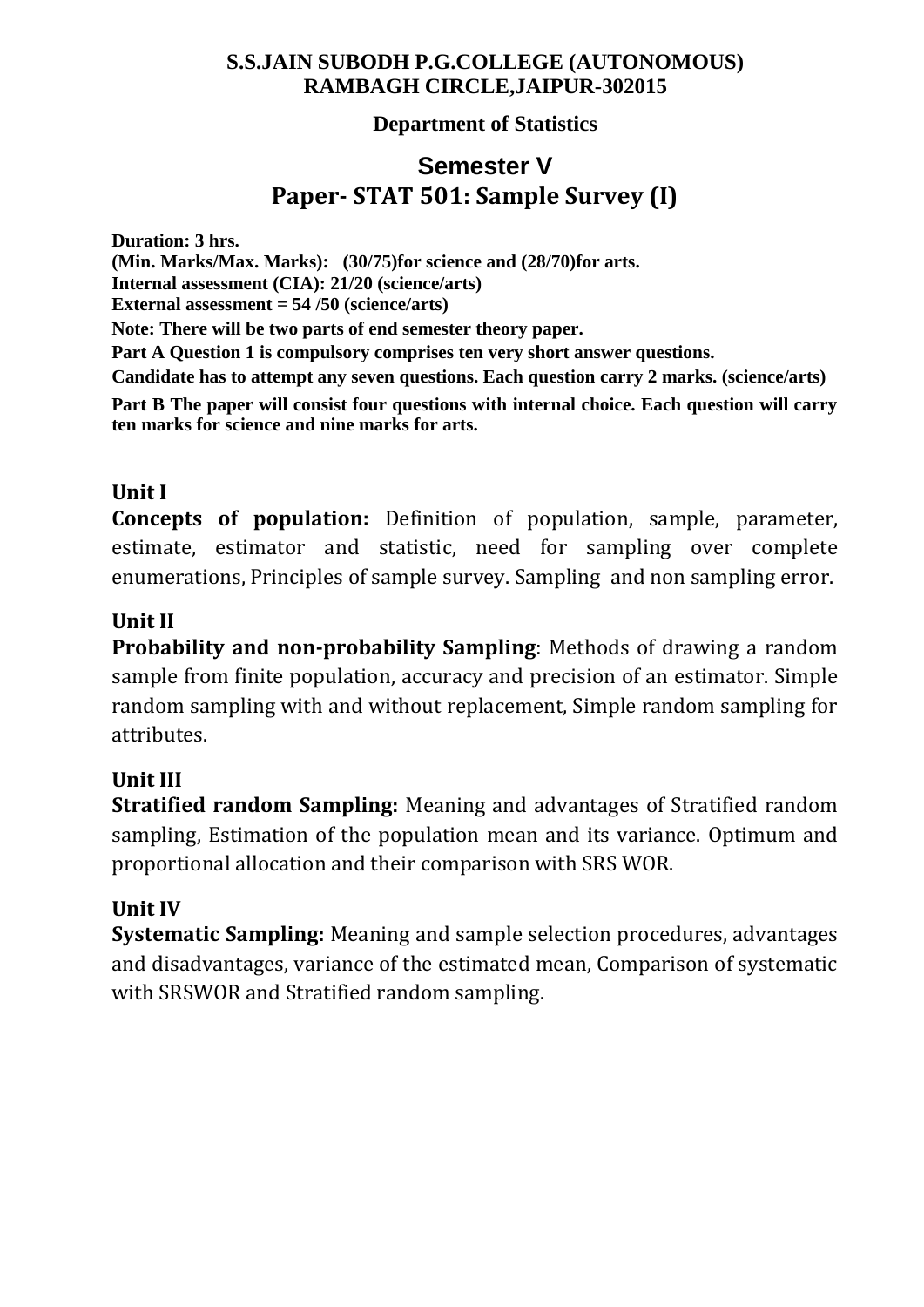## **Department of Statistics**

# **Semester V Paper- STAT 501: Sample Survey (I)**

**Duration: 3 hrs. (Min. Marks/Max. Marks): (30/75)for science and (28/70)for arts. Internal assessment (CIA): 21/20 (science/arts) External assessment = 54 /50 (science/arts) Note: There will be two parts of end semester theory paper. Part A Question 1 is compulsory comprises ten very short answer questions. Candidate has to attempt any seven questions. Each question carry 2 marks. (science/arts) Part B The paper will consist four questions with internal choice. Each question will carry ten marks for science and nine marks for arts.**

## **Unit I**

**Concepts of population:** Definition of population, sample, parameter, estimate, estimator and statistic, need for sampling over complete enumerations, Principles of sample survey. Sampling and non sampling error.

## **Unit II**

**Probability and non-probability Sampling**: Methods of drawing a random sample from finite population, accuracy and precision of an estimator. Simple random sampling with and without replacement, Simple random sampling for attributes.

## **Unit III**

**Stratified random Sampling:** Meaning and advantages of Stratified random sampling, Estimation of the population mean and its variance. Optimum and proportional allocation and their comparison with SRS WOR.

## **Unit IV**

**Systematic Sampling:** Meaning and sample selection procedures, advantages and disadvantages, variance of the estimated mean, Comparison of systematic with SRSWOR and Stratified random sampling.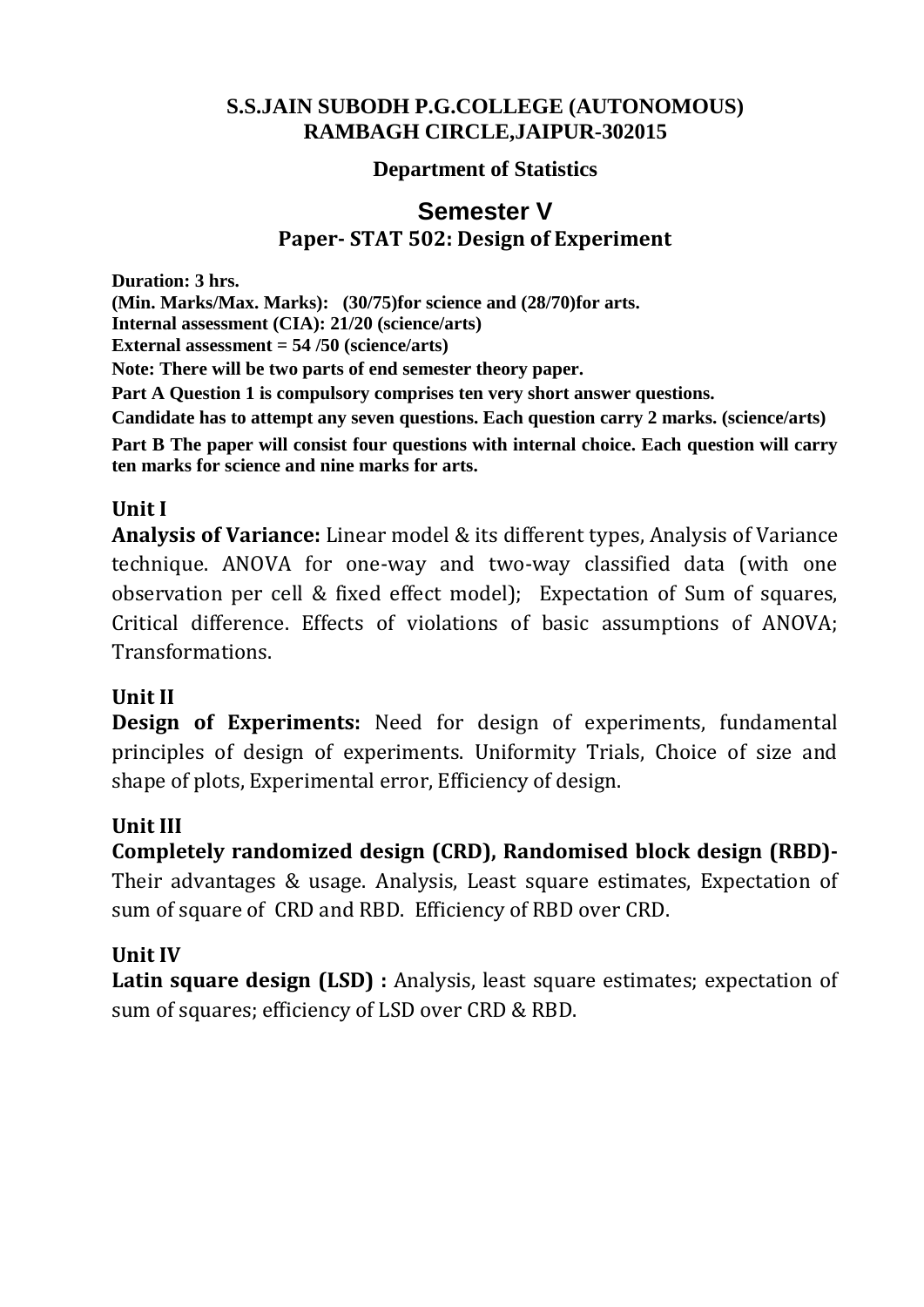## **Department of Statistics**

# **Semester V Paper- STAT 502: Design of Experiment**

**Duration: 3 hrs.**

**(Min. Marks/Max. Marks): (30/75)for science and (28/70)for arts.**

**Internal assessment (CIA): 21/20 (science/arts)**

**External assessment = 54 /50 (science/arts)**

**Note: There will be two parts of end semester theory paper.**

**Part A Question 1 is compulsory comprises ten very short answer questions.**

**Candidate has to attempt any seven questions. Each question carry 2 marks. (science/arts)**

**Part B The paper will consist four questions with internal choice. Each question will carry ten marks for science and nine marks for arts.**

# **Unit I**

**Analysis of Variance:** Linear model & its different types, Analysis of Variance technique. ANOVA for one-way and two-way classified data (with one observation per cell & fixed effect model); Expectation of Sum of squares, Critical difference. Effects of violations of basic assumptions of ANOVA; Transformations.

# **Unit II**

**Design of Experiments:** Need for design of experiments, fundamental principles of design of experiments. Uniformity Trials, Choice of size and shape of plots, Experimental error, Efficiency of design.

# **Unit III**

**Completely randomized design (CRD), Randomised block design (RBD)-**

Their advantages & usage. Analysis, Least square estimates, Expectation of sum of square of CRD and RBD. Efficiency of RBD over CRD.

# **Unit IV**

**Latin square design (LSD) :** Analysis, least square estimates; expectation of sum of squares; efficiency of LSD over CRD & RBD.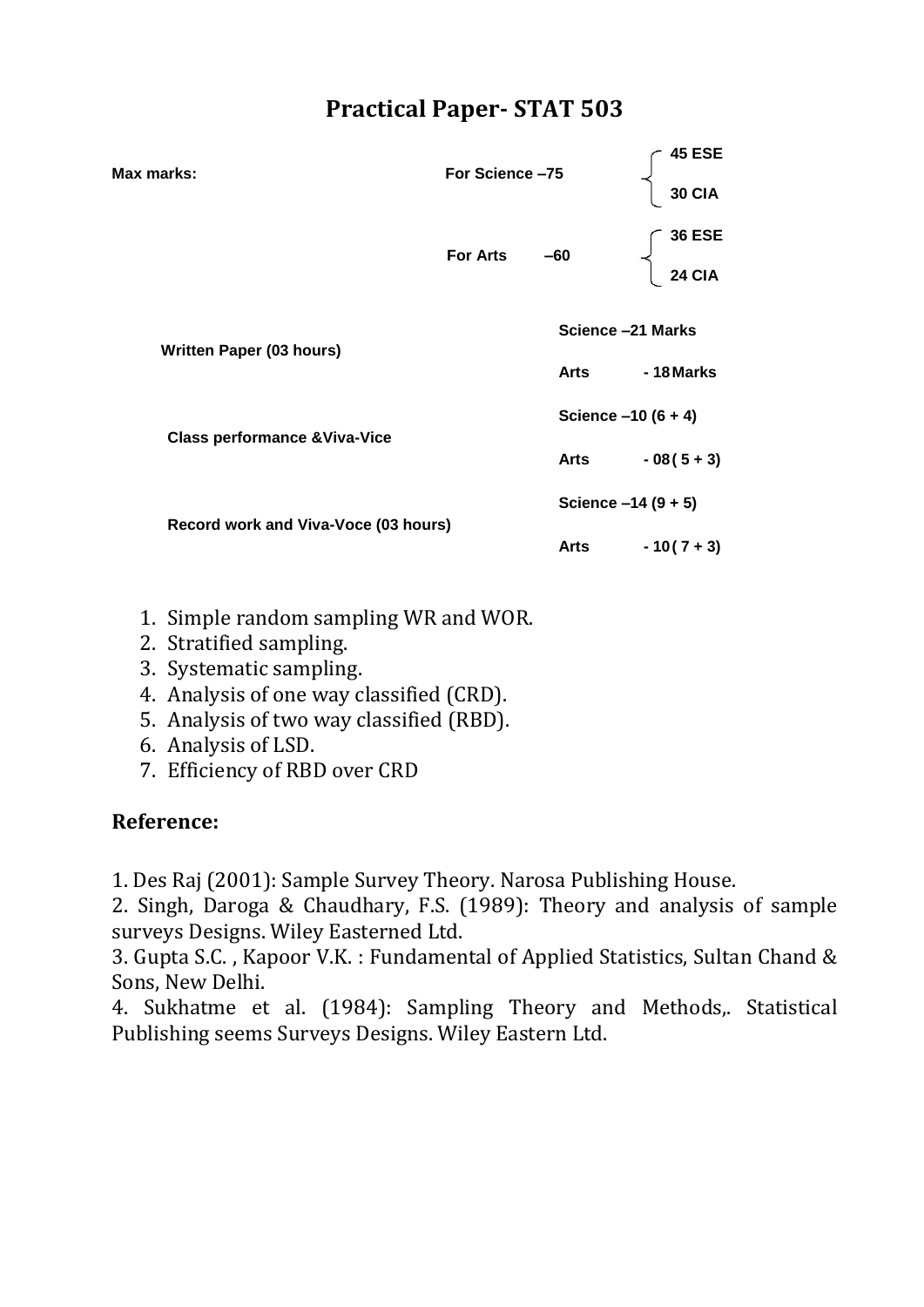| Max marks:                               | For Science-75    |       | 45 ESE<br><b>30 CIA</b> |  |
|------------------------------------------|-------------------|-------|-------------------------|--|
|                                          | <b>For Arts</b>   | $-60$ | <b>36 ESE</b><br>24 CIA |  |
| <b>Written Paper (03 hours)</b>          | Science -21 Marks |       |                         |  |
|                                          |                   | Arts  | - 18 Marks              |  |
|                                          |                   |       | Science $-10(6 + 4)$    |  |
| <b>Class performance &amp; Viva-Vice</b> |                   | Arts  | $-08(5+3)$              |  |
| Record work and Viva-Voce (03 hours)     |                   |       | Science $-14(9 + 5)$    |  |
|                                          |                   | Arts  | $-10(7+3)$              |  |

- 1. Simple random sampling WR and WOR.
- 2. Stratified sampling.
- 3. Systematic sampling.
- 4. Analysis of one way classified (CRD).
- 5. Analysis of two way classified (RBD).
- 6. Analysis of LSD.
- 7. Efficiency of RBD over CRD

## **Reference:**

1. Des Raj (2001): Sample Survey Theory. Narosa Publishing House.

2. Singh, Daroga & Chaudhary, F.S. (1989): Theory and analysis of sample surveys Designs. Wiley Easterned Ltd.

3. Gupta S.C. , Kapoor V.K. : Fundamental of Applied Statistics, Sultan Chand & Sons, New Delhi.

4. Sukhatme et al. (1984): Sampling Theory and Methods,. Statistical Publishing seems Surveys Designs. Wiley Eastern Ltd.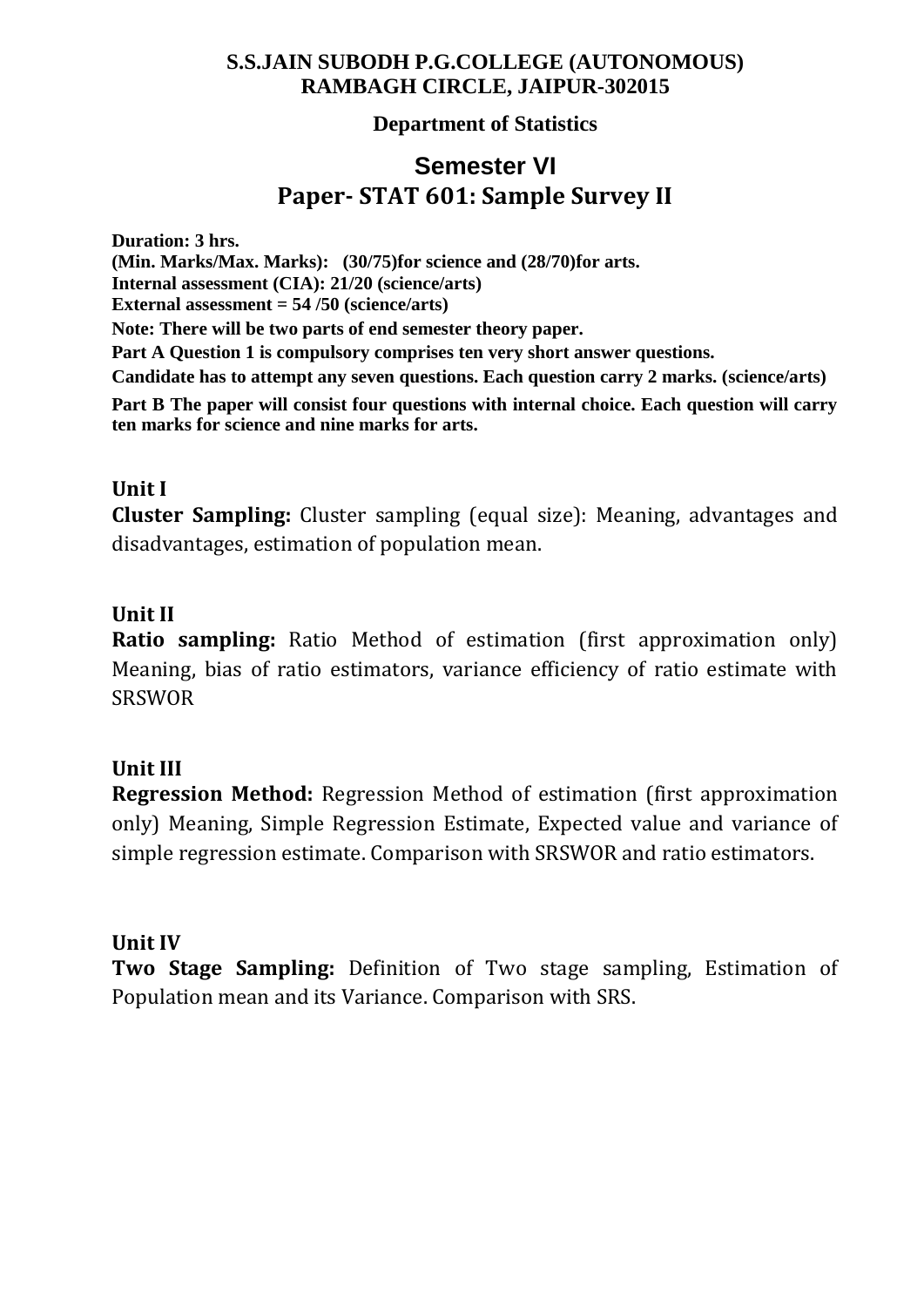#### **Department of Statistics**

# **Semester VI Paper- STAT 601: Sample Survey II**

**Duration: 3 hrs. (Min. Marks/Max. Marks): (30/75)for science and (28/70)for arts. Internal assessment (CIA): 21/20 (science/arts) External assessment = 54 /50 (science/arts) Note: There will be two parts of end semester theory paper. Part A Question 1 is compulsory comprises ten very short answer questions. Candidate has to attempt any seven questions. Each question carry 2 marks. (science/arts) Part B The paper will consist four questions with internal choice. Each question will carry ten marks for science and nine marks for arts.** 

#### **Unit I**

**Cluster Sampling:** Cluster sampling (equal size): Meaning, advantages and disadvantages, estimation of population mean.

#### **Unit II**

**Ratio sampling:** Ratio Method of estimation (first approximation only) Meaning, bias of ratio estimators, variance efficiency of ratio estimate with SRSWOR

#### **Unit III**

**Regression Method:** Regression Method of estimation (first approximation only) Meaning, Simple Regression Estimate, Expected value and variance of simple regression estimate. Comparison with SRSWOR and ratio estimators.

#### **Unit IV**

**Two Stage Sampling:** Definition of Two stage sampling, Estimation of Population mean and its Variance. Comparison with SRS.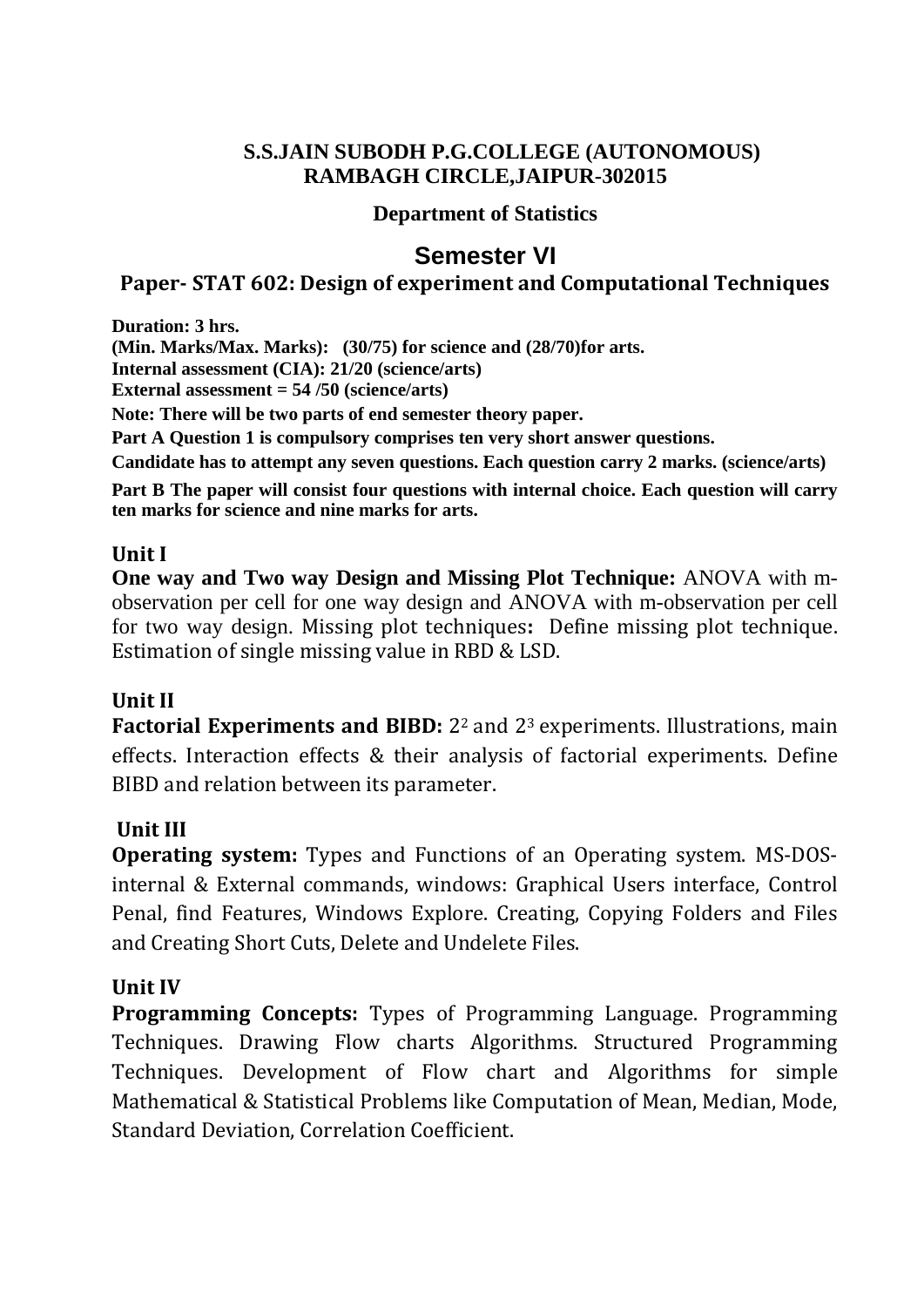#### **Department of Statistics**

# **Semester VI**

#### **Paper- STAT 602: Design of experiment and Computational Techniques**

**Duration: 3 hrs. (Min. Marks/Max. Marks): (30/75) for science and (28/70)for arts. Internal assessment (CIA): 21/20 (science/arts) External assessment = 54 /50 (science/arts) Note: There will be two parts of end semester theory paper. Part A Question 1 is compulsory comprises ten very short answer questions. Candidate has to attempt any seven questions. Each question carry 2 marks. (science/arts) Part B The paper will consist four questions with internal choice. Each question will carry ten marks for science and nine marks for arts.**

#### **Unit I**

**One way and Two way Design and Missing Plot Technique:** ANOVA with mobservation per cell for one way design and ANOVA with m-observation per cell for two way design. Missing plot techniques**:** Define missing plot technique. Estimation of single missing value in RBD & LSD.

## **Unit II**

**Factorial Experiments and BIBD:** 22 and 23 experiments. Illustrations, main effects. Interaction effects & their analysis of factorial experiments. Define BIBD and relation between its parameter.

## **Unit III**

**Operating system:** Types and Functions of an Operating system. MS-DOSinternal & External commands, windows: Graphical Users interface, Control Penal, find Features, Windows Explore. Creating, Copying Folders and Files and Creating Short Cuts, Delete and Undelete Files.

## **Unit IV**

**Programming Concepts:** Types of Programming Language. Programming Techniques. Drawing Flow charts Algorithms. Structured Programming Techniques. Development of Flow chart and Algorithms for simple Mathematical & Statistical Problems like Computation of Mean, Median, Mode, Standard Deviation, Correlation Coefficient.